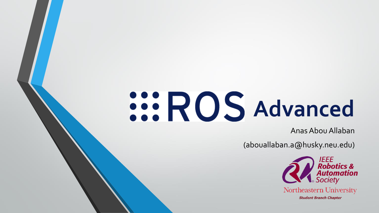# **Advanced**

Anas Abou Allaban

(abouallaban.a@husky.neu.edu)

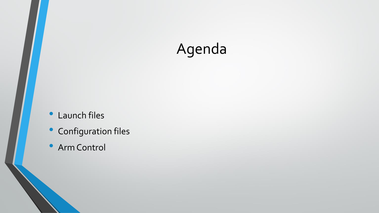## Agenda

- Launch files
- Configuration files
- Arm Control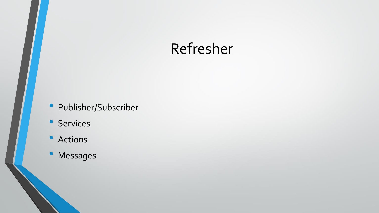#### Refresher

- Publisher/Subscriber
- Services
- Actions
- Messages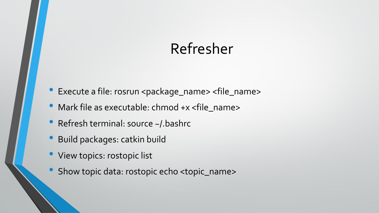#### Refresher

- Execute a file: rosrun <package\_name> <file\_name>
- Mark file as executable: chmod +x <file\_name>
- Refresh terminal: source ~/ bashrc
- Build packages: catkin build
- View topics: rostopic list
- Show topic data: rostopic echo <topic\_name>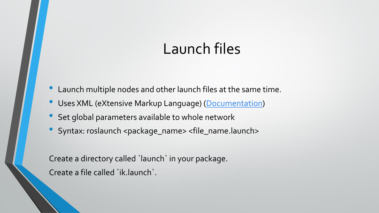#### Launch files

- Launch multiple nodes and other launch files at the same time.
- Uses XML (eXtensive Markup Language) [\(Documentation\)](https://wiki.ros.org/roslaunch/XML)
- Set global parameters available to whole network
- Syntax: roslaunch <package\_name> <file\_name.launch>

Create a directory called `launch` in your package. Create a file called `ik.launch`.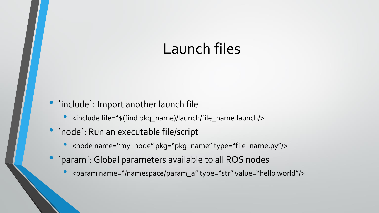#### Launch files

#### • `include`: Import another launch file

- <include file="\$(find pkg\_name)/launch/file\_name.launch/>
- `node`: Run an executable file/script
	- <node name="my\_node" pkg="pkg\_name" type="file\_name.py"/>
- `param`: Global parameters available to all ROS nodes
	- <param name="/namespace/param\_a" type="str" value="hello world"/>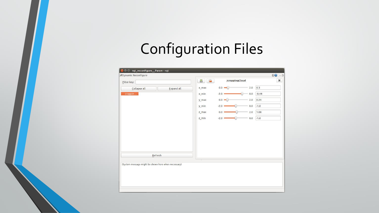## Configuration Files

| Dynamic Reconfigure<br>/croppingCloud<br>쓰<br>$\mathbb{P}^n$<br>Filter key:<br>$0.0$ $\equiv$<br>0.3<br>2.0<br>x_max<br>Collapse all<br><b>Expand all</b><br>$-0.44$<br>croppin<br>$x$ min<br>$-2.0$<br>0.0<br>0.24<br>$0.0$ $-$<br>2.0<br>y_max<br>$-1.0$<br>0.0<br>$y$ <sub>min</sub><br>$-2.0$<br>1.08<br>2.0<br>0.0<br>z_max<br>$-1.0$<br>$z_{min}$<br>0.0<br>$-2.0$ | $DQ - O$<br>× |
|--------------------------------------------------------------------------------------------------------------------------------------------------------------------------------------------------------------------------------------------------------------------------------------------------------------------------------------------------------------------------|---------------|
|                                                                                                                                                                                                                                                                                                                                                                          |               |
|                                                                                                                                                                                                                                                                                                                                                                          |               |
|                                                                                                                                                                                                                                                                                                                                                                          |               |
|                                                                                                                                                                                                                                                                                                                                                                          |               |
|                                                                                                                                                                                                                                                                                                                                                                          |               |
|                                                                                                                                                                                                                                                                                                                                                                          |               |
|                                                                                                                                                                                                                                                                                                                                                                          |               |
|                                                                                                                                                                                                                                                                                                                                                                          |               |
| Refresh                                                                                                                                                                                                                                                                                                                                                                  |               |
| $\overline{111}$                                                                                                                                                                                                                                                                                                                                                         |               |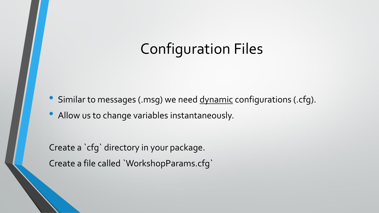#### Configuration Files

- Similar to messages (.msg) we need dynamic configurations (.cfg).
- Allow us to change variables instantaneously.

Create a `cfg` directory in your package. Create a file called `WorkshopParams.cfg`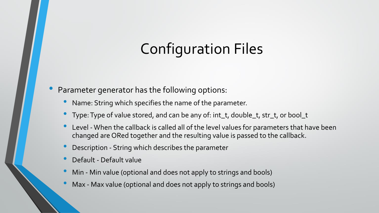### Configuration Files

#### • Parameter generator has the following options:

- Name: String which specifies the name of the parameter.
- Type: Type of value stored, and can be any of: int\_t, double\_t, str\_t, or bool\_t
- Level When the callback is called all of the level values for parameters that have been changed are ORed together and the resulting value is passed to the callback.
- Description String which describes the parameter
- Default Default value
- Min Min value (optional and does not apply to strings and bools)
- Max Max value (optional and does not apply to strings and bools)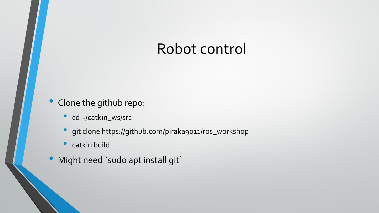#### Robot control

#### • Clone the github repo:

- cd ~/catkin\_ws/src
- git clone https://github.com/piraka9011/ros\_workshop
- catkin build
- Might need `sudo apt install git`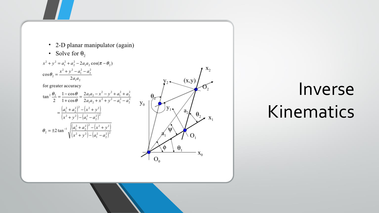- 2-D planar manipulator (again)
- Solve for  $\theta_2$



# Inverse Kinematics